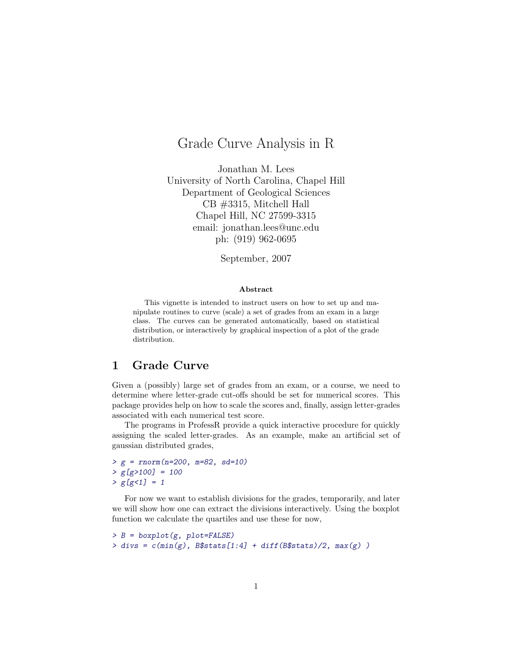## Grade Curve Analysis in R

Jonathan M. Lees University of North Carolina, Chapel Hill Department of Geological Sciences CB #3315, Mitchell Hall Chapel Hill, NC 27599-3315 email: jonathan.lees@unc.edu ph: (919) 962-0695

September, 2007

## Abstract

This vignette is intended to instruct users on how to set up and manipulate routines to curve (scale) a set of grades from an exam in a large class. The curves can be generated automatically, based on statistical distribution, or interactively by graphical inspection of a plot of the grade distribution.

## 1 Grade Curve

Given a (possibly) large set of grades from an exam, or a course, we need to determine where letter-grade cut-offs should be set for numerical scores. This package provides help on how to scale the scores and, finally, assign letter-grades associated with each numerical test score.

The programs in ProfessR provide a quick interactive procedure for quickly assigning the scaled letter-grades. As an example, make an artificial set of gaussian distributed grades,

```
> g = rnorm(n=200, m=82, sd=10)> g[g>100] = 100> g[g<1] = 1
```
For now we want to establish divisions for the grades, temporarily, and later we will show how one can extract the divisions interactively. Using the boxplot function we calculate the quartiles and use these for now,

```
> B = boxplot(g, plot=FALSE)> divs = c(min(g), B$stats[1:4] + diff(B$stats)/2, max(g))
```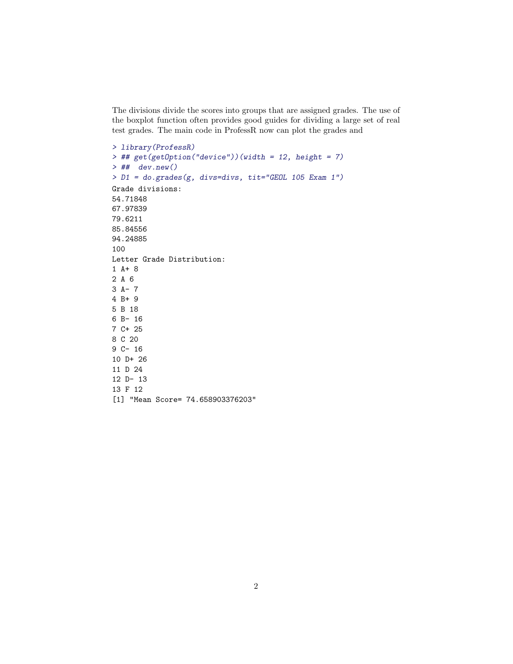The divisions divide the scores into groups that are assigned grades. The use of the boxplot function often provides good guides for dividing a large set of real test grades. The main code in ProfessR now can plot the grades and

```
> library(ProfessR)
> ## get(getOption("device"))(width = 12, height = 7)
> ## dev.new()
> D1 = do.grades(g, divs=divs, tit="GEOL 105 Exam 1")
Grade divisions:
54.71848
67.97839
79.6211
85.84556
94.24885
100
Letter Grade Distribution:
1 A+ 8
2 A 6
3 A- 7
4 B+ 9
5 B 18
6 B- 16
7 C+ 25
8 C 20
9 C- 16
10 D+ 26
11 D 24
12 D- 13
13 F 12
[1] "Mean Score= 74.658903376203"
```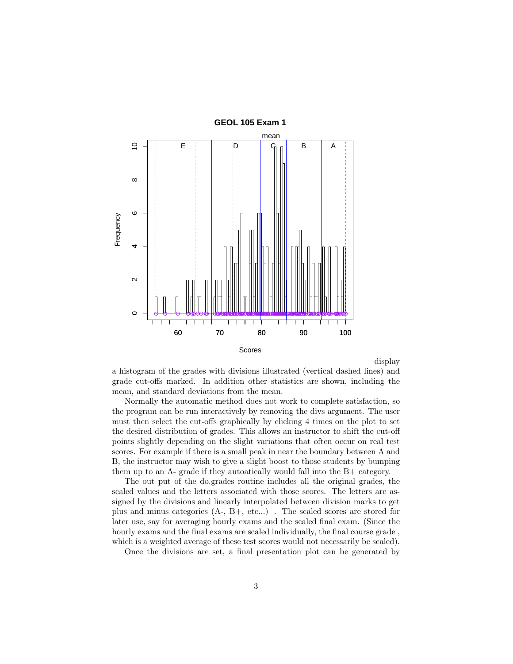

display

a histogram of the grades with divisions illustrated (vertical dashed lines) and grade cut-offs marked. In addition other statistics are shown, including the mean, and standard deviations from the mean.

Normally the automatic method does not work to complete satisfaction, so the program can be run interactively by removing the divs argument. The user must then select the cut-offs graphically by clicking 4 times on the plot to set the desired distribution of grades. This allows an instructor to shift the cut-off points slightly depending on the slight variations that often occur on real test scores. For example if there is a small peak in near the boundary between A and B, the instructor may wish to give a slight boost to those students by bumping them up to an A- grade if they autoatically would fall into the B+ category.

The out put of the do.grades routine includes all the original grades, the scaled values and the letters associated with those scores. The letters are assigned by the divisions and linearly interpolated between division marks to get plus and minus categories (A-, B+, etc...) . The scaled scores are stored for later use, say for averaging hourly exams and the scaled final exam. (Since the hourly exams and the final exams are scaled individually, the final course grade , which is a weighted average of these test scores would not necessarily be scaled).

Once the divisions are set, a final presentation plot can be generated by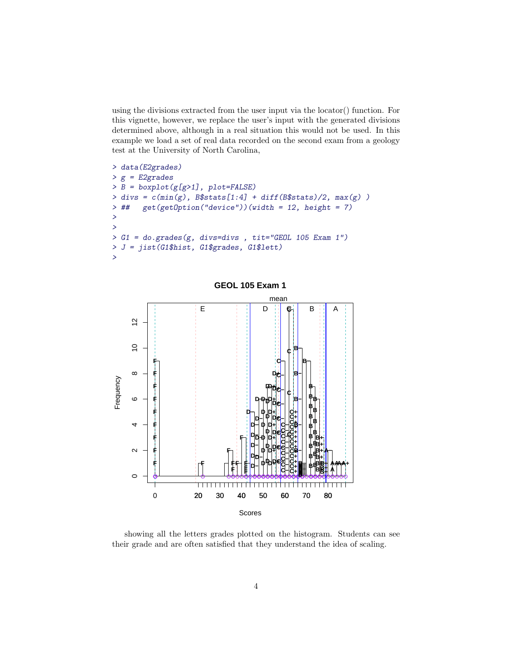using the divisions extracted from the user input via the locator() function. For this vignette, however, we replace the user's input with the generated divisions determined above, although in a real situation this would not be used. In this example we load a set of real data recorded on the second exam from a geology test at the University of North Carolina,

```
> data(E2grades)
> g = E2grades> B = boxplot(g[g>1], plot=FALSE)> divs = c(min(g), B$stats[1:4] + diff(B$stats)/2, max(g))
> ## get(getOption("device"))(width = 12, height = 7)
>
>
> G1 = do.grades(g, divs=divs , tit="GEOL 105 Exam 1")
> J = jist(G1$hist, G1$grades, G1$lett)
\overline{ }
```


showing all the letters grades plotted on the histogram. Students can see their grade and are often satisfied that they understand the idea of scaling.

**GEOL 105 Exam 1**